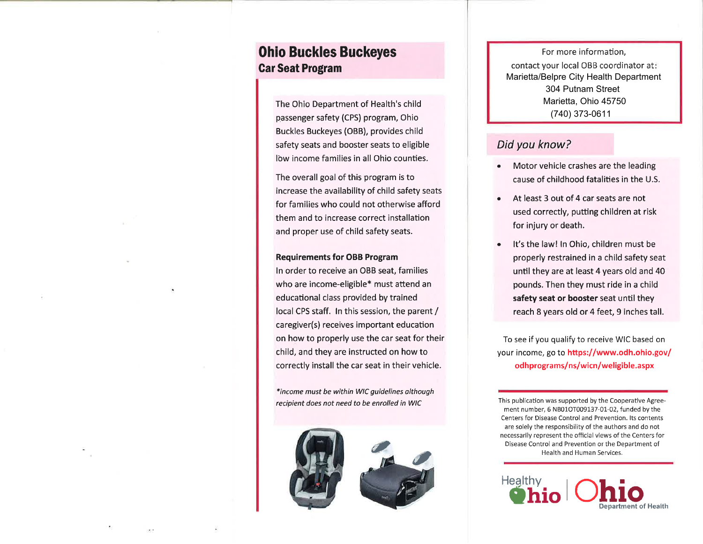# **Ohio Buckles Buckeyes Car Seat Program**

The Ohio Department of Health's child passenger safety (CPS) program, Ohio Buckles Buckeyes (OBB), provides child safety seats and booster seats to eligible low income families in all Ohio counties.

The overall goal of this program is to increase the availability of child safety seats for families who could not otherwise afford them and to increase correct installation and proper use of child safety seats.

### **Requirements for OBB Program**

In order to receive an OBB seat, families who are income-eligible\* must attend an educational class provided by trained local CPS staff. In this session, the parent / caregiver(s) receives important education on how to properly use the car seat for their child, and they are instructed on how to correctly install the car seat in their vehicle.

\*income must be within WIC guidelines although recipient does not need to be enrolled in WIC





For more information. contact your local OBB coordinator at: Marietta/Belpre City Health Department 304 Putnam Street Marietta. Ohio 45750 (740) 373-0611

## Did you know?

- Motor vehicle crashes are the leading cause of childhood fatalities in the U.S.
- At least 3 out of 4 car seats are not used correctly, putting children at risk for injury or death.
- It's the law! In Ohio, children must be properly restrained in a child safety seat until they are at least 4 years old and 40 pounds. Then they must ride in a child safety seat or booster seat until they reach 8 years old or 4 feet, 9 inches tall.

To see if you qualify to receive WIC based on your income, go to https://www.odh.ohio.gov/ odhprograms/ns/wicn/weligible.aspx

This publication was supported by the Cooperative Agreement number, 6 NB01OT009137-01-02, funded by the Centers for Disease Control and Prevention. Its contents are solely the responsibility of the authors and do not necessarily represent the official views of the Centers for Disease Control and Prevention or the Department of Health and Human Services.